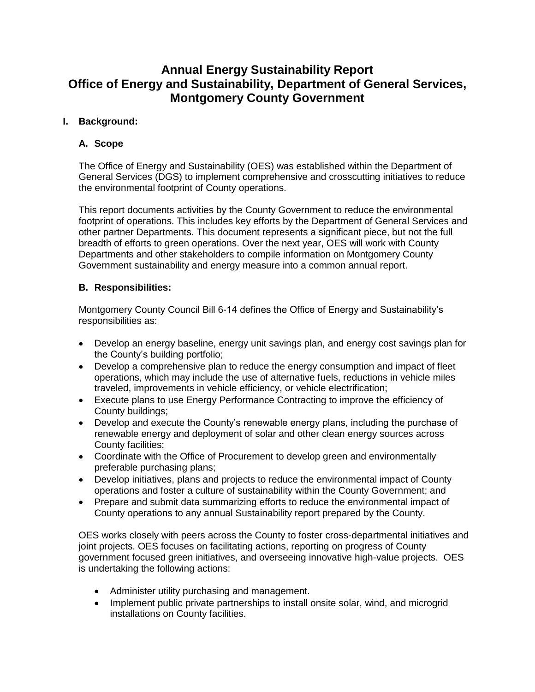# **Annual Energy Sustainability Report Office of Energy and Sustainability, Department of General Services, Montgomery County Government**

### **I. Background:**

### **A. Scope**

The Office of Energy and Sustainability (OES) was established within the Department of General Services (DGS) to implement comprehensive and crosscutting initiatives to reduce the environmental footprint of County operations.

This report documents activities by the County Government to reduce the environmental footprint of operations. This includes key efforts by the Department of General Services and other partner Departments. This document represents a significant piece, but not the full breadth of efforts to green operations. Over the next year, OES will work with County Departments and other stakeholders to compile information on Montgomery County Government sustainability and energy measure into a common annual report.

### **B. Responsibilities:**

Montgomery County Council Bill 6-14 defines the Office of Energy and Sustainability's responsibilities as:

- Develop an energy baseline, energy unit savings plan, and energy cost savings plan for the County's building portfolio;
- Develop a comprehensive plan to reduce the energy consumption and impact of fleet operations, which may include the use of alternative fuels, reductions in vehicle miles traveled, improvements in vehicle efficiency, or vehicle electrification;
- Execute plans to use Energy Performance Contracting to improve the efficiency of County buildings;
- Develop and execute the County's renewable energy plans, including the purchase of renewable energy and deployment of solar and other clean energy sources across County facilities;
- Coordinate with the Office of Procurement to develop green and environmentally preferable purchasing plans;
- Develop initiatives, plans and projects to reduce the environmental impact of County operations and foster a culture of sustainability within the County Government; and
- Prepare and submit data summarizing efforts to reduce the environmental impact of County operations to any annual Sustainability report prepared by the County.

OES works closely with peers across the County to foster cross-departmental initiatives and joint projects. OES focuses on facilitating actions, reporting on progress of County government focused green initiatives, and overseeing innovative high-value projects. OES is undertaking the following actions:

- Administer utility purchasing and management.
- Implement public private partnerships to install onsite solar, wind, and microgrid installations on County facilities.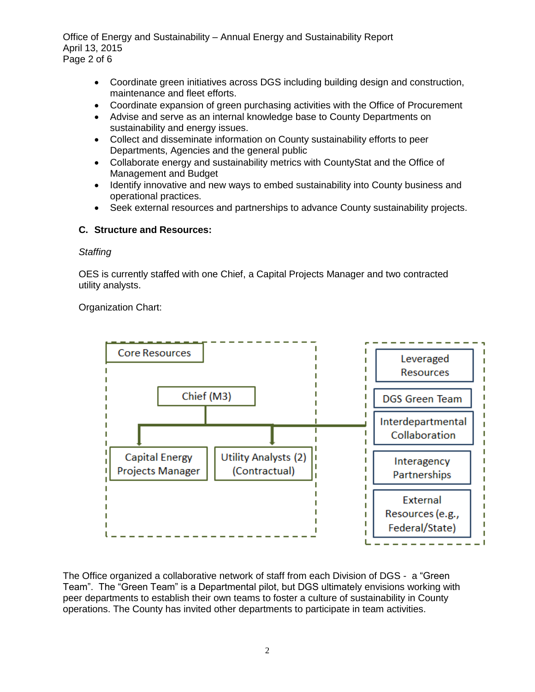Office of Energy and Sustainability – Annual Energy and Sustainability Report April 13, 2015 Page 2 of 6

- Coordinate green initiatives across DGS including building design and construction, maintenance and fleet efforts.
- Coordinate expansion of green purchasing activities with the Office of Procurement
- Advise and serve as an internal knowledge base to County Departments on sustainability and energy issues.
- Collect and disseminate information on County sustainability efforts to peer Departments, Agencies and the general public
- Collaborate energy and sustainability metrics with CountyStat and the Office of Management and Budget
- Identify innovative and new ways to embed sustainability into County business and operational practices.
- Seek external resources and partnerships to advance County sustainability projects.

### **C. Structure and Resources:**

#### *Staffing*

OES is currently staffed with one Chief, a Capital Projects Manager and two contracted utility analysts.

Organization Chart:



The Office organized a collaborative network of staff from each Division of DGS - a "Green Team". The "Green Team" is a Departmental pilot, but DGS ultimately envisions working with peer departments to establish their own teams to foster a culture of sustainability in County operations. The County has invited other departments to participate in team activities.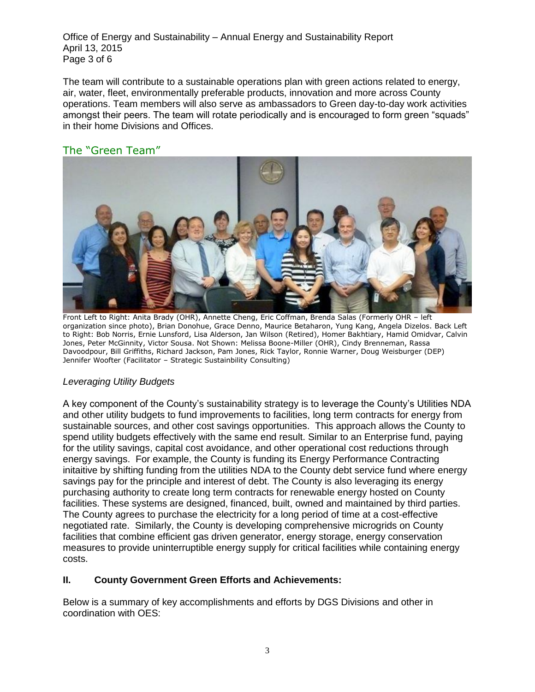Office of Energy and Sustainability – Annual Energy and Sustainability Report April 13, 2015 Page 3 of 6

The team will contribute to a sustainable operations plan with green actions related to energy, air, water, fleet, environmentally preferable products, innovation and more across County operations. Team members will also serve as ambassadors to Green day-to-day work activities amongst their peers. The team will rotate periodically and is encouraged to form green "squads" in their home Divisions and Offices.

# The "Green Team"



Front Left to Right: Anita Brady (OHR), Annette Cheng, Eric Coffman, Brenda Salas (Formerly OHR – left organization since photo), Brian Donohue, Grace Denno, Maurice Betaharon, Yung Kang, Angela Dizelos. Back Left to Right: Bob Norris, Ernie Lunsford, Lisa Alderson, Jan Wilson (Retired), Homer Bakhtiary, Hamid Omidvar, Calvin Jones, Peter McGinnity, Victor Sousa. Not Shown: Melissa Boone-Miller (OHR), Cindy Brenneman, Rassa Davoodpour, Bill Griffiths, Richard Jackson, Pam Jones, Rick Taylor, Ronnie Warner, Doug Weisburger (DEP) Jennifer Woofter (Facilitator – Strategic Sustainbility Consulting)

#### *Leveraging Utility Budgets*

A key component of the County's sustainability strategy is to leverage the County's Utilities NDA and other utility budgets to fund improvements to facilities, long term contracts for energy from sustainable sources, and other cost savings opportunities. This approach allows the County to spend utility budgets effectively with the same end result. Similar to an Enterprise fund, paying for the utility savings, capital cost avoidance, and other operational cost reductions through energy savings. For example, the County is funding its Energy Performance Contracting initaitive by shifting funding from the utilities NDA to the County debt service fund where energy savings pay for the principle and interest of debt. The County is also leveraging its energy purchasing authority to create long term contracts for renewable energy hosted on County facilities. These systems are designed, financed, built, owned and maintained by third parties. The County agrees to purchase the electricity for a long period of time at a cost-effective negotiated rate. Similarly, the County is developing comprehensive microgrids on County facilities that combine efficient gas driven generator, energy storage, energy conservation measures to provide uninterruptible energy supply for critical facilities while containing energy costs.

#### **II. County Government Green Efforts and Achievements:**

Below is a summary of key accomplishments and efforts by DGS Divisions and other in coordination with OES: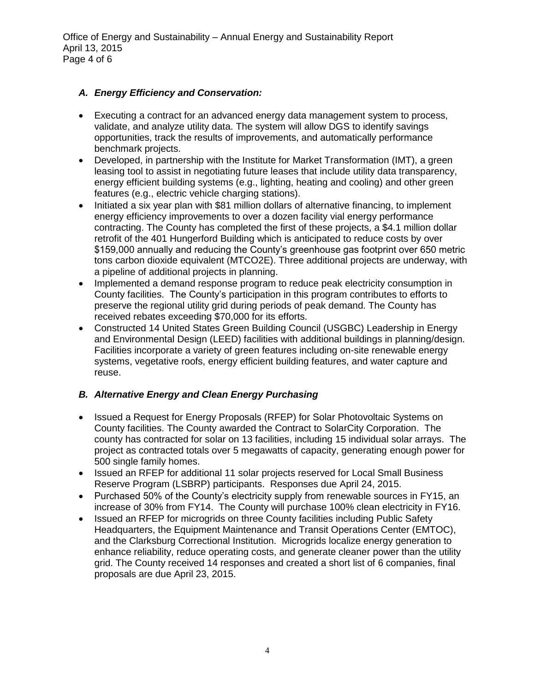Office of Energy and Sustainability – Annual Energy and Sustainability Report April 13, 2015 Page 4 of 6

#### *A. Energy Efficiency and Conservation:*

- Executing a contract for an advanced energy data management system to process, validate, and analyze utility data. The system will allow DGS to identify savings opportunities, track the results of improvements, and automatically performance benchmark projects.
- Developed, in partnership with the Institute for Market Transformation (IMT), a green leasing tool to assist in negotiating future leases that include utility data transparency, energy efficient building systems (e.g., lighting, heating and cooling) and other green features (e.g., electric vehicle charging stations).
- Initiated a six year plan with \$81 million dollars of alternative financing, to implement energy efficiency improvements to over a dozen facility vial energy performance contracting. The County has completed the first of these projects, a \$4.1 million dollar retrofit of the 401 Hungerford Building which is anticipated to reduce costs by over \$159,000 annually and reducing the County's greenhouse gas footprint over 650 metric tons carbon dioxide equivalent (MTCO2E). Three additional projects are underway, with a pipeline of additional projects in planning.
- Implemented a demand response program to reduce peak electricity consumption in County facilities. The County's participation in this program contributes to efforts to preserve the regional utility grid during periods of peak demand. The County has received rebates exceeding \$70,000 for its efforts.
- Constructed 14 United States Green Building Council (USGBC) Leadership in Energy and Environmental Design (LEED) facilities with additional buildings in planning/design. Facilities incorporate a variety of green features including on-site renewable energy systems, vegetative roofs, energy efficient building features, and water capture and reuse.

# *B. Alternative Energy and Clean Energy Purchasing*

- Issued a Request for Energy Proposals (RFEP) for Solar Photovoltaic Systems on County facilities. The County awarded the Contract to SolarCity Corporation. The county has contracted for solar on 13 facilities, including 15 individual solar arrays. The project as contracted totals over 5 megawatts of capacity, generating enough power for 500 single family homes.
- Issued an RFEP for additional 11 solar projects reserved for Local Small Business Reserve Program (LSBRP) participants. Responses due April 24, 2015.
- Purchased 50% of the County's electricity supply from renewable sources in FY15, an increase of 30% from FY14. The County will purchase 100% clean electricity in FY16.
- Issued an RFEP for microgrids on three County facilities including Public Safety Headquarters, the Equipment Maintenance and Transit Operations Center (EMTOC), and the Clarksburg Correctional Institution. Microgrids localize energy generation to enhance reliability, reduce operating costs, and generate cleaner power than the utility grid. The County received 14 responses and created a short list of 6 companies, final proposals are due April 23, 2015.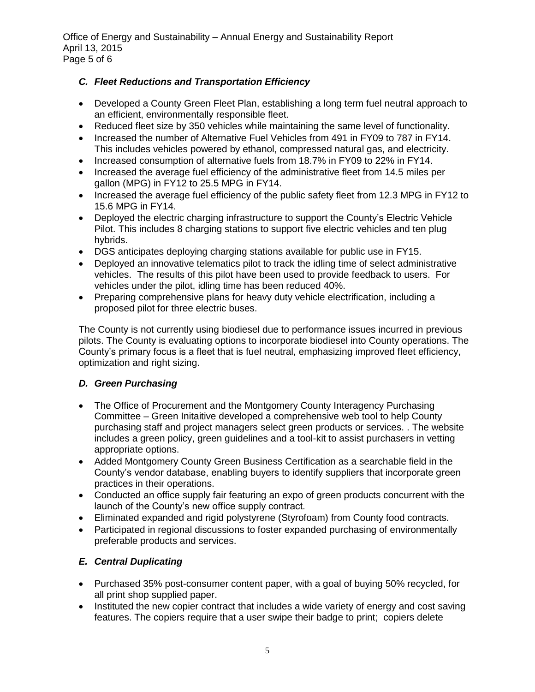Office of Energy and Sustainability – Annual Energy and Sustainability Report April 13, 2015 Page 5 of 6

# *C. Fleet Reductions and Transportation Efficiency*

- Developed a County Green Fleet Plan, establishing a long term fuel neutral approach to an efficient, environmentally responsible fleet.
- Reduced fleet size by 350 vehicles while maintaining the same level of functionality.
- Increased the number of Alternative Fuel Vehicles from 491 in FY09 to 787 in FY14. This includes vehicles powered by ethanol, compressed natural gas, and electricity.
- Increased consumption of alternative fuels from 18.7% in FY09 to 22% in FY14.
- Increased the average fuel efficiency of the administrative fleet from 14.5 miles per gallon (MPG) in FY12 to 25.5 MPG in FY14.
- Increased the average fuel efficiency of the public safety fleet from 12.3 MPG in FY12 to 15.6 MPG in FY14.
- Deployed the electric charging infrastructure to support the County's Electric Vehicle Pilot. This includes 8 charging stations to support five electric vehicles and ten plug hybrids.
- DGS anticipates deploying charging stations available for public use in FY15.
- Deployed an innovative telematics pilot to track the idling time of select administrative vehicles. The results of this pilot have been used to provide feedback to users. For vehicles under the pilot, idling time has been reduced 40%.
- Preparing comprehensive plans for heavy duty vehicle electrification, including a proposed pilot for three electric buses.

The County is not currently using biodiesel due to performance issues incurred in previous pilots. The County is evaluating options to incorporate biodiesel into County operations. The County's primary focus is a fleet that is fuel neutral, emphasizing improved fleet efficiency, optimization and right sizing.

# *D. Green Purchasing*

- The Office of Procurement and the Montgomery County Interagency Purchasing Committee – Green Initaitive developed a comprehensive web tool to help County purchasing staff and project managers select green products or services. . The website includes a green policy, green guidelines and a tool-kit to assist purchasers in vetting appropriate options.
- Added Montgomery County Green Business Certification as a searchable field in the County's vendor database, enabling buyers to identify suppliers that incorporate green practices in their operations.
- Conducted an office supply fair featuring an expo of green products concurrent with the launch of the County's new office supply contract.
- Eliminated expanded and rigid polystyrene (Styrofoam) from County food contracts.
- Participated in regional discussions to foster expanded purchasing of environmentally preferable products and services.

# *E. Central Duplicating*

- Purchased 35% post-consumer content paper, with a goal of buying 50% recycled, for all print shop supplied paper.
- Instituted the new copier contract that includes a wide variety of energy and cost saving features. The copiers require that a user swipe their badge to print; copiers delete